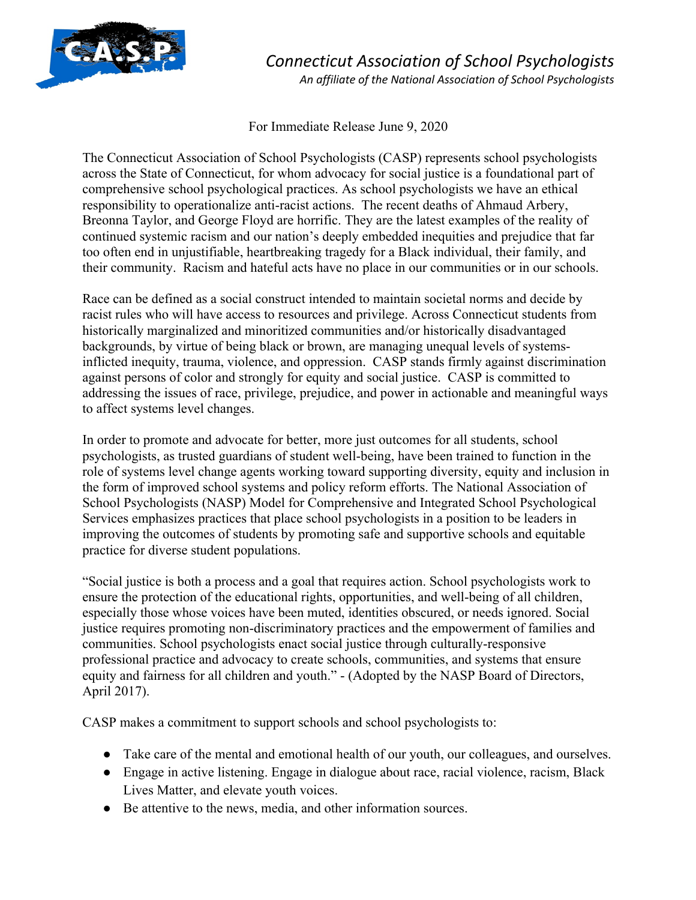

*Connecticut Association of School Psychologists*

*An affiliate of the National Association of School Psychologists*

For Immediate Release June 9, 2020

The Connecticut Association of School Psychologists (CASP) represents school psychologists across the State of Connecticut, for whom advocacy for social justice is a foundational part of comprehensive school psychological practices. As school psychologists we have an ethical responsibility to operationalize anti-racist actions. The recent deaths of Ahmaud Arbery, Breonna Taylor, and George Floyd are horrific. They are the latest examples of the reality of continued systemic racism and our nation's deeply embedded inequities and prejudice that far too often end in unjustifiable, heartbreaking tragedy for a Black individual, their family, and their community. Racism and hateful acts have no place in our communities or in our schools.

Race can be defined as a social construct intended to maintain societal norms and decide by racist rules who will have access to resources and privilege. Across Connecticut students from historically marginalized and minoritized communities and/or historically disadvantaged backgrounds, by virtue of being black or brown, are managing unequal levels of systemsinflicted inequity, trauma, violence, and oppression. CASP stands firmly against discrimination against persons of color and strongly for equity and social justice. CASP is committed to addressing the issues of race, privilege, prejudice, and power in actionable and meaningful ways to affect systems level changes.

In order to promote and advocate for better, more just outcomes for all students, school psychologists, as trusted guardians of student well-being, have been trained to function in the role of systems level change agents working toward supporting diversity, equity and inclusion in the form of improved school systems and policy reform efforts. The National Association of School Psychologists (NASP) Model for Comprehensive and Integrated School Psychological Services emphasizes practices that place school psychologists in a position to be leaders in improving the outcomes of students by promoting safe and supportive schools and equitable practice for diverse student populations.

"Social justice is both a process and a goal that requires action. School psychologists work to ensure the protection of the educational rights, opportunities, and well-being of all children, especially those whose voices have been muted, identities obscured, or needs ignored. Social justice requires promoting non-discriminatory practices and the empowerment of families and communities. School psychologists enact social justice through culturally-responsive professional practice and advocacy to create schools, communities, and systems that ensure equity and fairness for all children and youth." - (Adopted by the NASP Board of Directors, April 2017).

CASP makes a commitment to support schools and school psychologists to:

- Take care of the mental and emotional health of our youth, our colleagues, and ourselves.
- Engage in active listening. Engage in dialogue about race, racial violence, racism, Black Lives Matter, and elevate youth voices.
- Be attentive to the news, media, and other information sources.